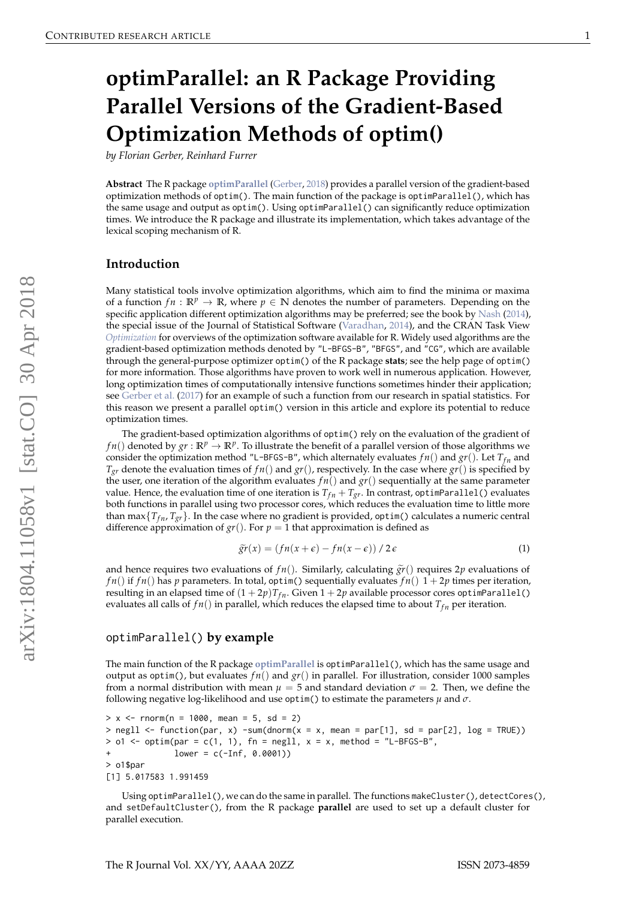# **optimParallel: an R Package Providing Parallel Versions of the Gradient-Based Optimization Methods of optim()**

*by Florian Gerber, Reinhard Furrer*

**Abstract** The R package **[optimParallel](https://CRAN.R-project.org/package=optimParallel)** [\(Gerber,](#page-3-0) [2018\)](#page-3-0) provides a parallel version of the gradient-based optimization methods of optim(). The main function of the package is optimParallel(), which has the same usage and output as optim(). Using optimParallel() can significantly reduce optimization times. We introduce the R package and illustrate its implementation, which takes advantage of the lexical scoping mechanism of R.

#### **Introduction**

Many statistical tools involve optimization algorithms, which aim to find the minima or maxima of a function  $fn : \mathbb{R}^p \to \mathbb{R}$ , where  $p \in \mathbb{N}$  denotes the number of parameters. Depending on the specific application different optimization algorithms may be preferred; see the book by [Nash](#page-3-1) [\(2014\)](#page-3-1), the special issue of the Journal of Statistical Software [\(Varadhan,](#page-3-2) [2014\)](#page-3-2), and the CRAN Task View *[Optimization](https://CRAN.R-project.org/view=Optimization)* for overviews of the optimization software available for R. Widely used algorithms are the gradient-based optimization methods denoted by "L-BFGS-B", "BFGS", and "CG", which are available through the general-purpose optimizer optim() of the R package **stats**; see the help page of optim() for more information. Those algorithms have proven to work well in numerous application. However, long optimization times of computationally intensive functions sometimes hinder their application; see [Gerber et al.](#page-3-3) [\(2017\)](#page-3-3) for an example of such a function from our research in spatial statistics. For this reason we present a parallel optim() version in this article and explore its potential to reduce optimization times.

The gradient-based optimization algorithms of optim() rely on the evaluation of the gradient of *f n*() denoted by  $gr : \mathbb{R}^p \to \mathbb{R}^p$ . To illustrate the benefit of a parallel version of those algorithms we consider the optimization method "L-BFGS-B", which alternately evaluates  $fn()$  and  $gr()$ . Let  $T_{fn}$  and  $T_{gr}$  denote the evaluation times of  $fn()$  and  $gr()$ , respectively. In the case where  $gr()$  is specified by the user, one iteration of the algorithm evaluates  $fn()$  and  $gr()$  sequentially at the same parameter value. Hence, the evaluation time of one iteration is  $T_{fn} + T_{gr}$ . In contrast, optimParallel() evaluates both functions in parallel using two processor cores, which reduces the evaluation time to little more than max $\{T_{fn}, T_{gr}\}$ . In the case where no gradient is provided, optim() calculates a numeric central difference approximation of  $gr()$ . For  $p = 1$  that approximation is defined as

$$
\widetilde{gr}(x) = \left(fn(x+\epsilon) - fn(x-\epsilon)\right)/2\epsilon \tag{1}
$$

and hence requires two evaluations of  $fn()$ . Similarly, calculating  $\tilde{gr}()$  requires  $2p$  evaluations of *f n*() if *f n*() has *p* parameters. In total, optim() sequentially evaluates *f n*()  $1 + 2p$  times per iteration, resulting in an elapsed time of  $(1 + 2p)T_{fn}$ . Given  $1 + 2p$  available processor cores optimParallel() evaluates all calls of  $fn()$  in parallel, which reduces the elapsed time to about  $T_{fn}$  per iteration.

#### optimParallel() **by example**

The main function of the R package **[optimParallel](https://CRAN.R-project.org/package=optimParallel)** is optimParallel(), which has the same usage and output as optim(), but evaluates  $fn()$  and  $gr()$  in parallel. For illustration, consider 1000 samples from a normal distribution with mean  $\mu = 5$  and standard deviation  $\sigma = 2$ . Then, we define the following negative log-likelihood and use optim() to estimate the parameters *µ* and *σ*.

```
> x < - rnorm(n = 1000, mean = 5, sd = 2)
> negll \le function(par, x) -sum(dnorm(x = x, mean = par[1], sd = par[2], log = TRUE))
> o1 <- optim(par = c(1, 1), fn = negll, x = x, method = "L-BFGS-B",
              lower = c(-Inf, 0.0001))> o1$par
[1] 5.017583 1.991459
```
Using optimParallel(), we can do the same in parallel. The functions makeCluster(), detectCores(), and setDefaultCluster(), from the R package **parallel** are used to set up a default cluster for parallel execution.

arXiv:1804.11058v1 [stat.CO] 30 Apr 2018 arXiv:1804.11058v1 [stat.CO] 30 Apr 2018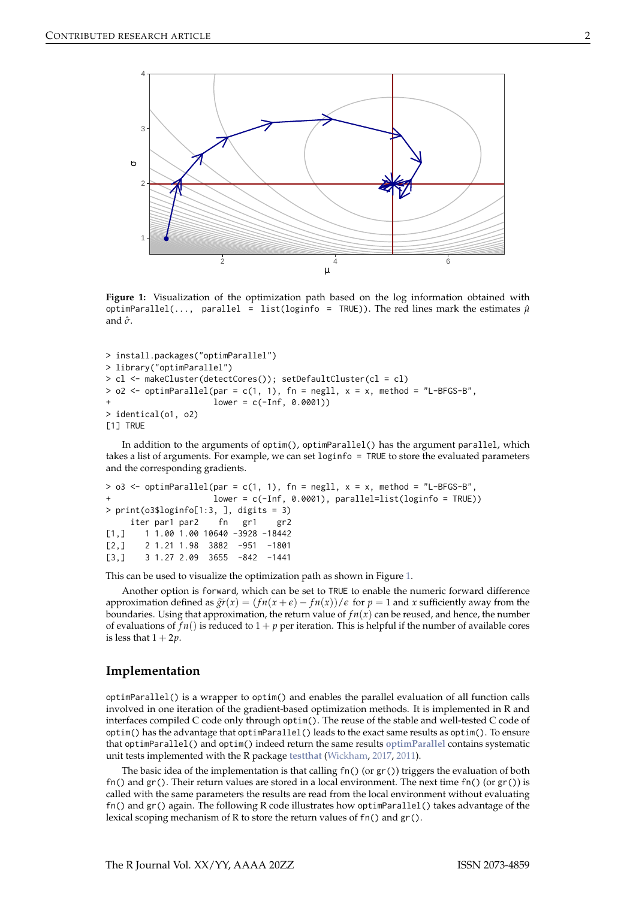<span id="page-1-0"></span>

**Figure 1:** Visualization of the optimization path based on the log information obtained with optimParallel(..., parallel = list(loginfo = TRUE)). The red lines mark the estimates  $\hat{\mu}$ and *σ*ˆ.

```
> install.packages("optimParallel")
> library("optimParallel")
> cl <- makeCluster(detectCores()); setDefaultCluster(cl = cl)
> o2 <- optimParallel(par = c(1, 1), fn = negll, x = x, method = "L-BFGS-B",
                      lower = c(-Inf, 0.0001))> identical(o1, o2)
[1] TRUE
```
In addition to the arguments of optim(), optimParallel() has the argument parallel, which takes a list of arguments. For example, we can set loginfo = TRUE to store the evaluated parameters and the corresponding gradients.

```
> 03 <- optimParallel(par = c(1, 1), fn = negll, x = x, method = "L-BFGS-B",
+ lower = c(-Inf, 0.0001), parallel=list(loginfo = TRUE))
> print(o3$loginfo[1:3, ], digits = 3)
    iter par1 par2 fn gr1 gr2
[1,] 1 1.00 1.00 10640 -3928 -18442
[2,] 2 1.21 1.98 3882 -951 -1801
[3,] 3 1.27 2.09 3655 -842 -1441
```
This can be used to visualize the optimization path as shown in Figure [1.](#page-1-0)

Another option is forward, which can be set to TRUE to enable the numeric forward difference approximation defined as  $\tilde{gr}(x) = (fn(x + \epsilon) - fn(x))/\epsilon$  for  $p = 1$  and *x* sufficiently away from the boundaries. Using that approximation, the return value of  $f_n(x)$  can be reused, and hence, the number of evaluations of  $fn()$  is reduced to  $1 + p$  per iteration. This is helpful if the number of available cores is less that  $1 + 2p$ .

### **Implementation**

optimParallel() is a wrapper to optim() and enables the parallel evaluation of all function calls involved in one iteration of the gradient-based optimization methods. It is implemented in R and interfaces compiled C code only through optim(). The reuse of the stable and well-tested C code of optim() has the advantage that optimParallel() leads to the exact same results as optim(). To ensure that optimParallel() and optim() indeed return the same results **[optimParallel](https://CRAN.R-project.org/package=optimParallel)** contains systematic unit tests implemented with the R package **[testthat](https://CRAN.R-project.org/package=testthat)** [\(Wickham,](#page-3-4) [2017,](#page-3-4) [2011\)](#page-3-5).

The basic idea of the implementation is that calling  $fn()$  (or  $gr()$ ) triggers the evaluation of both fn() and  $gr()$ . Their return values are stored in a local environment. The next time  $fn()$  (or  $gr()$ ) is called with the same parameters the results are read from the local environment without evaluating fn() and gr() again. The following R code illustrates how optimParallel() takes advantage of the lexical scoping mechanism of R to store the return values of fn() and gr().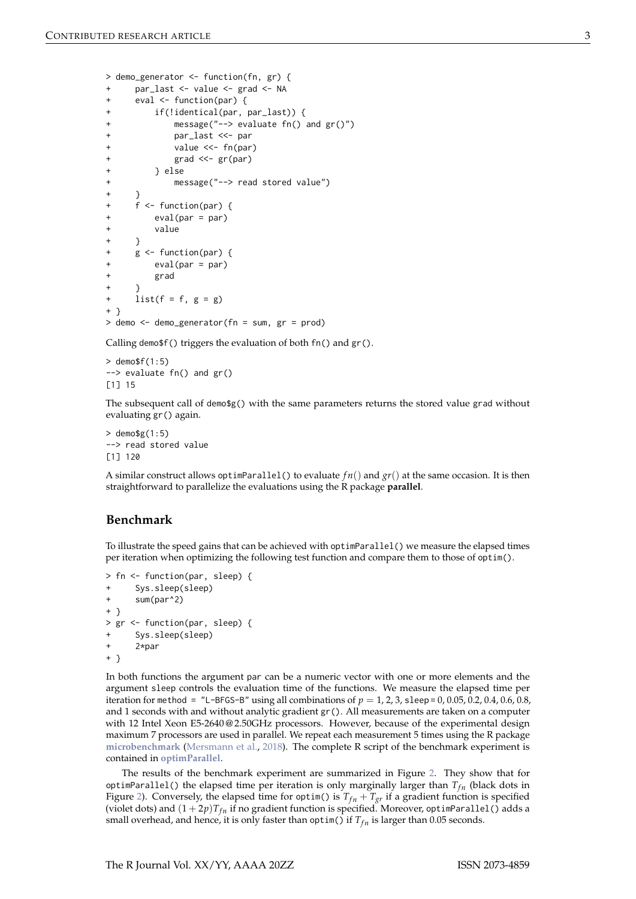```
> demo_generator <- function(fn, gr) {
     par_last <- value <- grad <- NA
+ eval <- function(par) {
+ if(!identical(par, par_last)) {
             message("--> evaluate fn() and gr()")
             par_last <<- par
             value \lt\lt- fn(par)
             grad \ll - gr(par)+ } else
             message("--> read stored value")
+ }
+ f <- function(par) {
         eval(par = par)+ value
+ }
+ g <- function(par) {
         eval(par = par)grad
+ }
+ list(f = f, g = g)+ }
> demo <- demo generator(fn = sum, gr = prod)
```
Calling demo\$f() triggers the evaluation of both fn() and gr().

 $>$  demo\$f(1:5) --> evaluate fn() and gr() [1] 15

The subsequent call of demo\$g() with the same parameters returns the stored value grad without evaluating gr() again.

```
> demo$g(1:5)
--> read stored value
[1] 120
```
A similar construct allows optimParallel() to evaluate  $fn()$  and  $gr()$  at the same occasion. It is then straightforward to parallelize the evaluations using the R package **parallel**.

# **Benchmark**

To illustrate the speed gains that can be achieved with optimParallel() we measure the elapsed times per iteration when optimizing the following test function and compare them to those of optim().

```
> fn <- function(par, sleep) {
     Sys.sleep(sleep)
+ sum(par^2)
+ }
> gr <- function(par, sleep) {
+ Sys.sleep(sleep)
+ 2*par
+ }
```
In both functions the argument par can be a numeric vector with one or more elements and the argument sleep controls the evaluation time of the functions. We measure the elapsed time per iteration for method =  $"L-BFGS-B"$  using all combinations of  $p = 1, 2, 3$ , sleep = 0, 0.05, 0.2, 0.4, 0.6, 0.8, and 1 seconds with and without analytic gradient gr(). All measurements are taken on a computer with 12 Intel Xeon E5-2640@2.50GHz processors. However, because of the experimental design maximum 7 processors are used in parallel. We repeat each measurement 5 times using the R package **[microbenchmark](https://CRAN.R-project.org/package=microbenchmark)** [\(Mersmann et al.,](#page-3-6) [2018\)](#page-3-6). The complete R script of the benchmark experiment is contained in **[optimParallel](https://CRAN.R-project.org/package=optimParallel)**.

The results of the benchmark experiment are summarized in Figure [2.](#page-3-7) They show that for optimParallel() the elapsed time per iteration is only marginally larger than  $T_{fn}$  (black dots in Figure [2\)](#page-3-7). Conversely, the elapsed time for optim() is  $T_{fn} + T_{gr}$  if a gradient function is specified (violet dots) and  $(1 + 2p)T_{fn}$  if no gradient function is specified. Moreover, optimParallel() adds a small overhead, and hence, it is only faster than optim() if  $T_{fn}$  is larger than 0.05 seconds.